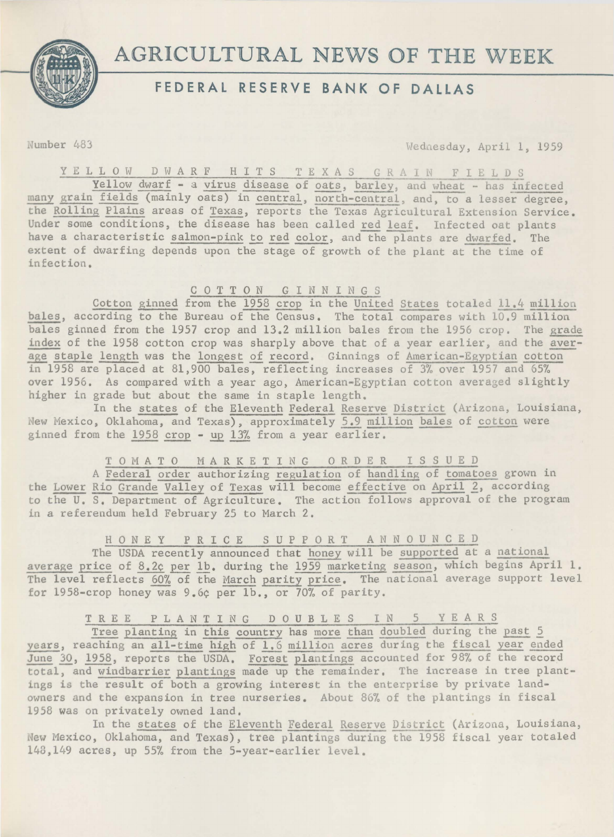

# **AGRICULTURAL NEWS OF THE WEEK FEDERAL RESERVE BANK OF DALLAS**

Number 483 Wednesday, April 1, 1959

Y E L L O W D W A R F H I T S T E X A S G R A I N F I E L D S

Yellow dwarf - a virus disease of oats, barley, and wheat - has infected many grain fields (mainly oats) in central, north-central, and, to a lesser degree, the Rolling Plains areas of Texas, reports the Texas Agricultural Extension Service. Under some conditions, the disease has been called red leaf. Infected oat plants have a characteristic salmon-pink to red color, and the plants are dwarfed. The extent of dwarfing depends upon the stage of growth of the plant at the time of infection.

# C 0 T T 0 N G I N N I N G S

Cotton ginned from the 1958 crop in the United States totaled 11.4 million bales, according to the Bureau of the Census. The total compares with 10,9 million bales ginned from the 1957 crop and 13.2 million bales from the 1956 crop. The grade index of the 1958 cotton crop was sharply above that of a year earlier, and the <u>aver</u>age staple length was the longest of record, Ginnings of American-Egyptian cotton in 1958 are placed at 81,900 bales, reflecting increases of 3% over 1957 and 65% over 1956. As compared with a year ago, American-Egyptian cotton averaged slightly higher in grade but about the same in staple length.

In the states of the Eleventh Federal Reserve District (Arizona, Louisiana, New Mexico, Oklahoma, and Texas), approximately 5.9 million bales of cotton were ginned from the 1958 crop - up 13% from a year earlier,

TOMATO MARKETING ORDER ISSUED

A Federal order authorizing regulation of handling of tomatoes grown in the Lower Rio Grande Valley of Texas will become effective on April 2, according to the U, S, Department of Agriculture. The action follows approval of the program in a referendum held February 25 to March 2,

# H 0 N E Y P R I C E S U P P 0 R T A N N 0 U N C E D

The USDA recently announced that honey will be supported at a national average price of 8.2¢ per lb. during the 1959 marketing season, which begins April 1. The level reflects 60% of the March parity price. The national average support level for 1958-crop honey was 9.6¢ per lb., or 70% of parity.

TREE PLANTING DOUBLES IN 5 YEARS

Tree planting in this country has more than doubled during the past 5 years, reaching an all-time high of 1.6 million acres during the fiscal year ended June 30, 1958, reports the USDA. Forest plantings accounted for 98% of the record total, and windbarrier plantings made up the remainder. The increase in tree plantings is the result of both a growing interest in the enterprise by private landowners and the expansion in tree nurseries. About 86% of the plantings in fiscal 1958 was on privately owned land,

In the states of the Eleventh Federal Reserve District (Arizona, Louisiana, New Mexico, Oklahoma, and Texas), tree plantings during the 1958 fiscal year totaled 148,149 acres, up 55% from the 5-year-earlier level.